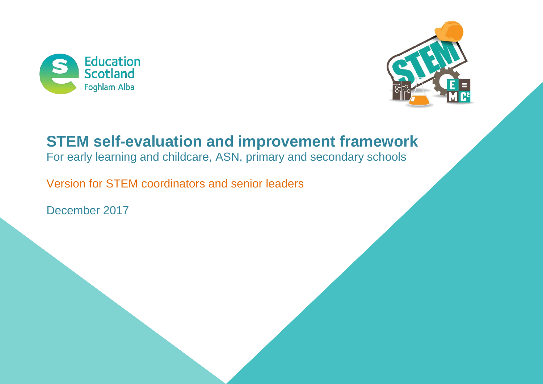



# **STEM self-evaluation and improvement framework**

For early learning and childcare, ASN, primary and secondary schools

Version for STEM coordinators and senior leaders

December 2017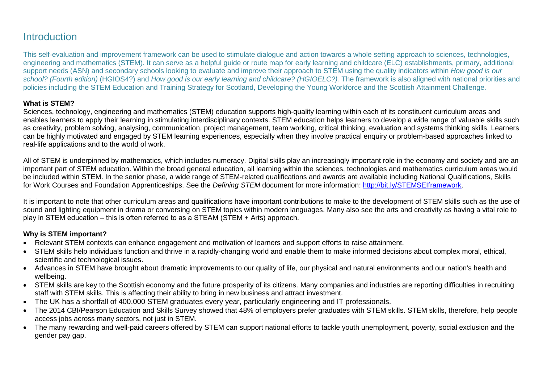### **Introduction**

This self-evaluation and improvement framework can be used to stimulate dialogue and action towards a whole setting approach to sciences, technologies, engineering and mathematics (STEM). It can serve as a helpful guide or route map for early learning and childcare (ELC) establishments, primary, additional support needs (ASN) and secondary schools looking to evaluate and improve their approach to STEM using the quality indicators within *How good is our school? (Fourth edition)* (HGIOS4?) and *How good is our early learning and childcare? (HGIOELC?).* The framework is also aligned with national priorities and policies including the STEM Education and Training Strategy for Scotland, Developing the Young Workforce and the Scottish Attainment Challenge.

#### **What is STEM?**

Sciences, technology, engineering and mathematics (STEM) education supports high-quality learning within each of its constituent curriculum areas and enables learners to apply their learning in stimulating interdisciplinary contexts. STEM education helps learners to develop a wide range of valuable skills such as creativity, problem solving, analysing, communication, project management, team working, critical thinking, evaluation and systems thinking skills. Learners can be highly motivated and engaged by STEM learning experiences, especially when they involve practical enquiry or problem-based approaches linked to real-life applications and to the world of work.

All of STEM is underpinned by mathematics, which includes numeracy. Digital skills play an increasingly important role in the economy and society and are an important part of STEM education. Within the broad general education, all learning within the sciences, technologies and mathematics curriculum areas would be included within STEM. In the senior phase, a wide range of STEM-related [qualifications and awards](http://www.listofsubjects.org/) are available including National Qualifications, Skills for Work Courses and Foundation Apprenticeships. See the *Defining STEM* document for more information: [http://bit.ly/STEMSEIframework.](http://bit.ly/STEMSEIframework)

It is important to note that other curriculum areas and qualifications have important contributions to make to the development of STEM skills such as the use of sound and lighting equipment in drama or conversing on STEM topics within modern languages. Many also see the arts and creativity as having a vital role to play in STEM education  $-$  this is often referred to as a STEAM (STEM  $+$  Arts) approach.

#### **Why is STEM important?**

- Relevant STEM contexts can enhance engagement and motivation of learners and support efforts to raise attainment.
- STEM skills help individuals function and thrive in a rapidly-changing world and enable them to make informed decisions about complex moral, ethical, scientific and technological issues.
- Advances in STEM have brought about dramatic improvements to our quality of life, our physical and natural environments and our nation's health and wellbeing.
- STEM skills are key to the Scottish economy and the future prosperity of its citizens. Many companies and industries are reporting difficulties in recruiting staff with STEM skills. This is affecting their ability to bring in new business and attract investment.
- The UK has a shortfall of 400,000 STEM graduates every year, particularly engineering and IT professionals.
- The 2014 CBI/Pearson Education and Skills Survey showed that 48% of employers prefer graduates with STEM skills. STEM skills, therefore, help people access jobs across many sectors, not just in STEM.
- The many rewarding and well-paid careers offered by STEM can support national efforts to tackle youth unemployment, poverty, social exclusion and the gender pay gap.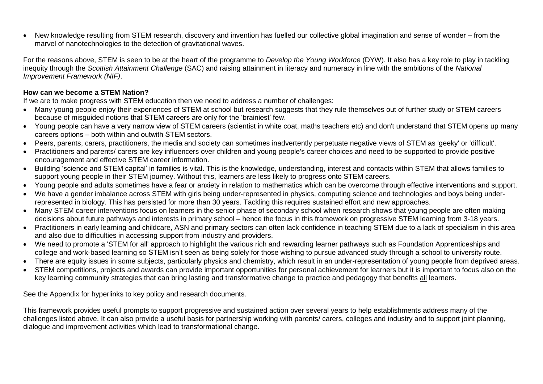New knowledge resulting from STEM research, discovery and invention has fuelled our collective global imagination and sense of wonder – from the marvel of nanotechnologies to the detection of gravitational waves.

For the reasons above, STEM is seen to be at the heart of the programme to *Develop the Young Workforce* (DYW). It also has a key role to play in tackling inequity through the *Scottish Attainment Challenge* (SAC) and raising attainment in literacy and numeracy in line with the ambitions of the *National Improvement Framework (NIF)*.

#### **How can we become a STEM Nation?**

If we are to make progress with STEM education then we need to address a number of challenges:

- Many young people enjoy their experiences of STEM at school but research suggests that they rule themselves out of further study or STEM careers because of misguided notions that STEM careers are only for the 'brainiest' few.
- Young people can have a very narrow view of STEM careers (scientist in white coat, maths teachers etc) and don't understand that STEM opens up many careers options – both within and outwith STEM sectors.
- Peers, parents, carers, practitioners, the media and society can sometimes inadvertently perpetuate negative views of STEM as 'geeky' or 'difficult'.
- Practitioners and parents/ carers are key influencers over children and young people's career choices and need to be supported to provide positive encouragement and effective STEM career information.
- Building 'science and STEM capital' in families is vital. This is the knowledge, understanding, interest and contacts within STEM that allows families to support young people in their STEM journey. Without this, learners are less likely to progress onto STEM careers.
- Young people and adults sometimes have a fear or anxiety in relation to mathematics which can be overcome through effective interventions and support.
- We have a gender imbalance across STEM with girls being under-represented in physics, computing science and technologies and boys being underrepresented in biology. This has persisted for more than 30 years. Tackling this requires sustained effort and new approaches.
- Many STEM career interventions focus on learners in the senior phase of secondary school when research shows that young people are often making decisions about future pathways and interests in primary school – hence the focus in this framework on progressive STEM learning from 3-18 years.
- Practitioners in early learning and childcare, ASN and primary sectors can often lack confidence in teaching STEM due to a lack of specialism in this area and also due to difficulties in accessing support from industry and providers.
- We need to promote a 'STEM for all' approach to highlight the various rich and rewarding learner pathways such as Foundation Apprenticeships and college and work-based learning so STEM isn't seen as being solely for those wishing to pursue advanced study through a school to university route.
- There are equity issues in some subjects, particularly physics and chemistry, which result in an under-representation of young people from deprived areas.
- STEM competitions, projects and awards can provide important opportunities for personal achievement for learners but it is important to focus also on the key learning community strategies that can bring lasting and transformative change to practice and pedagogy that benefits all learners.

<span id="page-2-0"></span>See the [Appendix](#page-2-0) for hyperlinks to key policy and research documents.

This framework provides useful prompts to support progressive and sustained action over several years to help establishments address many of the challenges listed above. It can also provide a useful basis for partnership working with parents/ carers, colleges and industry and to support joint planning, dialogue and improvement activities which lead to transformational change.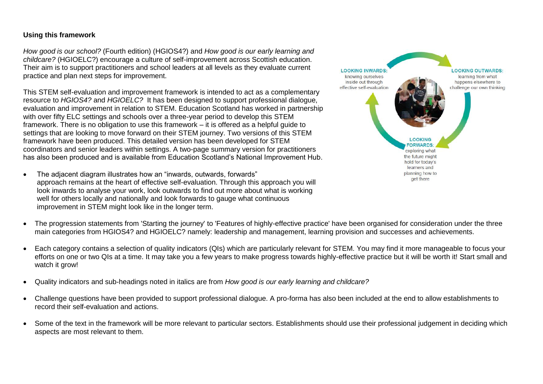#### **Using this framework**

*How good is our school?* (Fourth edition) (HGIOS4?) and *How good is our early learning and childcare?* (HGIOELC?) encourage a culture of self-improvement across Scottish education. Their aim is to support practitioners and school leaders at all levels as they evaluate current practice and plan next steps for improvement.

This STEM self-evaluation and improvement framework is intended to act as a complementary resource to *HGIOS4?* and *HGIOELC?* It has been designed to support professional dialogue, evaluation and improvement in relation to STEM. Education Scotland has worked in partnership with over fifty ELC settings and schools over a three-year period to develop this STEM framework. There is no obligation to use this framework – it is offered as a helpful guide to settings that are looking to move forward on their STEM journey. Two versions of this STEM framework have been produced. This detailed version has been developed for STEM coordinators and senior leaders within settings. A two-page summary version for practitioners has also been produced and is available from Education Scotland's National Improvement Hub.

 The adjacent diagram illustrates how an "inwards, outwards, forwards" approach remains at the heart of effective self-evaluation. Through this approach you will look inwards to analyse your work, look outwards to find out more about what is working well for others locally and nationally and look forwards to gauge what continuous improvement in STEM might look like in the longer term.



- The progression statements from 'Starting the journey' to 'Features of highly-effective practice' have been organised for consideration under the three main categories from HGIOS4? and HGIOELC? namely: leadership and management, learning provision and successes and achievements.
- Each category contains a selection of quality indicators (QIs) which are particularly relevant for STEM. You may find it more manageable to focus your efforts on one or two QIs at a time. It may take you a few years to make progress towards highly-effective practice but it will be worth it! Start small and watch it grow!
- Quality indicators and sub-headings noted in italics are from *How good is our early learning and childcare?*
- Challenge questions have been provided to support professional dialogue. A pro-forma has also been included at the end to allow establishments to record their self-evaluation and actions.
- Some of the text in the framework will be more relevant to particular sectors. Establishments should use their professional judgement in deciding which aspects are most relevant to them.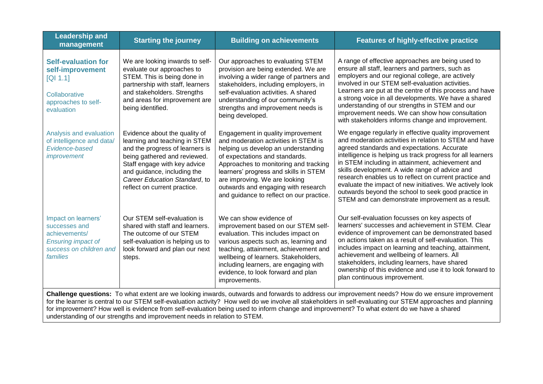| <b>Leadership and</b><br>management                                                                                                                                                                                                                                                                                                                                                                                                                                                                                                         | <b>Starting the journey</b>                                                                                                                                                                                                                                       | <b>Building on achievements</b>                                                                                                                                                                                                                                                                                                                          | <b>Features of highly-effective practice</b>                                                                                                                                                                                                                                                                                                                                                                                                                                                                                                                        |
|---------------------------------------------------------------------------------------------------------------------------------------------------------------------------------------------------------------------------------------------------------------------------------------------------------------------------------------------------------------------------------------------------------------------------------------------------------------------------------------------------------------------------------------------|-------------------------------------------------------------------------------------------------------------------------------------------------------------------------------------------------------------------------------------------------------------------|----------------------------------------------------------------------------------------------------------------------------------------------------------------------------------------------------------------------------------------------------------------------------------------------------------------------------------------------------------|---------------------------------------------------------------------------------------------------------------------------------------------------------------------------------------------------------------------------------------------------------------------------------------------------------------------------------------------------------------------------------------------------------------------------------------------------------------------------------------------------------------------------------------------------------------------|
| <b>Self-evaluation for</b><br>self-improvement<br>[Q11.1]<br>Collaborative<br>approaches to self-<br>evaluation                                                                                                                                                                                                                                                                                                                                                                                                                             | We are looking inwards to self-<br>evaluate our approaches to<br>STEM. This is being done in<br>partnership with staff, learners<br>and stakeholders. Strengths<br>and areas for improvement are<br>being identified.                                             | Our approaches to evaluating STEM<br>provision are being extended. We are<br>involving a wider range of partners and<br>stakeholders, including employers, in<br>self-evaluation activities. A shared<br>understanding of our community's<br>strengths and improvement needs is<br>being developed.                                                      | A range of effective approaches are being used to<br>ensure all staff, learners and partners, such as<br>employers and our regional college, are actively<br>involved in our STEM self-evaluation activities.<br>Learners are put at the centre of this process and have<br>a strong voice in all developments. We have a shared<br>understanding of our strengths in STEM and our<br>improvement needs. We can show how consultation<br>with stakeholders informs change and improvement.                                                                          |
| Analysis and evaluation<br>of intelligence and data/<br>Evidence-based<br>improvement                                                                                                                                                                                                                                                                                                                                                                                                                                                       | Evidence about the quality of<br>learning and teaching in STEM<br>and the progress of learners is<br>being gathered and reviewed.<br>Staff engage with key advice<br>and guidance, including the<br>Career Education Standard, to<br>reflect on current practice. | Engagement in quality improvement<br>and moderation activities in STEM is<br>helping us develop an understanding<br>of expectations and standards.<br>Approaches to monitoring and tracking<br>learners' progress and skills in STEM<br>are improving. We are looking<br>outwards and engaging with research<br>and guidance to reflect on our practice. | We engage regularly in effective quality improvement<br>and moderation activities in relation to STEM and have<br>agreed standards and expectations. Accurate<br>intelligence is helping us track progress for all learners<br>in STEM including in attainment, achievement and<br>skills development. A wide range of advice and<br>research enables us to reflect on current practice and<br>evaluate the impact of new initiatives. We actively look<br>outwards beyond the school to seek good practice in<br>STEM and can demonstrate improvement as a result. |
| Impact on learners'<br>successes and<br>achievements/<br><b>Ensuring impact of</b><br>success on children and<br>families                                                                                                                                                                                                                                                                                                                                                                                                                   | Our STEM self-evaluation is<br>shared with staff and learners.<br>The outcome of our STEM<br>self-evaluation is helping us to<br>look forward and plan our next<br>steps.                                                                                         | We can show evidence of<br>improvement based on our STEM self-<br>evaluation. This includes impact on<br>various aspects such as, learning and<br>teaching, attainment, achievement and<br>wellbeing of learners. Stakeholders,<br>including learners, are engaging with<br>evidence, to look forward and plan<br>improvements.                          | Our self-evaluation focusses on key aspects of<br>learners' successes and achievement in STEM. Clear<br>evidence of improvement can be demonstrated based<br>on actions taken as a result of self-evaluation. This<br>includes impact on learning and teaching, attainment,<br>achievement and wellbeing of learners. All<br>stakeholders, including learners, have shared<br>ownership of this evidence and use it to look forward to<br>plan continuous improvement.                                                                                              |
| Challenge questions: To what extent are we looking inwards, outwards and forwards to address our improvement needs? How do we ensure improvement<br>for the learner is central to our STEM self-evaluation activity? How well do we involve all stakeholders in self-evaluating our STEM approaches and planning<br>for improvement? How well is evidence from self-evaluation being used to inform change and improvement? To what extent do we have a shared<br>understanding of our strengths and improvement needs in relation to STEM. |                                                                                                                                                                                                                                                                   |                                                                                                                                                                                                                                                                                                                                                          |                                                                                                                                                                                                                                                                                                                                                                                                                                                                                                                                                                     |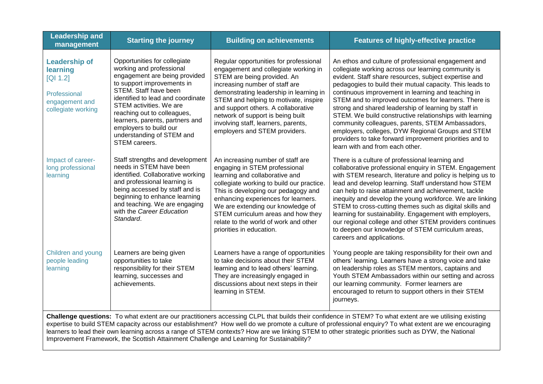| <b>Leadership and</b><br>management                                                                  | <b>Starting the journey</b>                                                                                                                                                                                                                                                                                                                                | <b>Building on achievements</b>                                                                                                                                                                                                                                                                                                                                                         | <b>Features of highly-effective practice</b>                                                                                                                                                                                                                                                                                                                                                                                                                                                                                                                                                                                                                            |
|------------------------------------------------------------------------------------------------------|------------------------------------------------------------------------------------------------------------------------------------------------------------------------------------------------------------------------------------------------------------------------------------------------------------------------------------------------------------|-----------------------------------------------------------------------------------------------------------------------------------------------------------------------------------------------------------------------------------------------------------------------------------------------------------------------------------------------------------------------------------------|-------------------------------------------------------------------------------------------------------------------------------------------------------------------------------------------------------------------------------------------------------------------------------------------------------------------------------------------------------------------------------------------------------------------------------------------------------------------------------------------------------------------------------------------------------------------------------------------------------------------------------------------------------------------------|
| <b>Leadership of</b><br>learning<br>[QI 1.2]<br>Professional<br>engagement and<br>collegiate working | Opportunities for collegiate<br>working and professional<br>engagement are being provided<br>to support improvements in<br>STEM. Staff have been<br>identified to lead and coordinate<br>STEM activities. We are<br>reaching out to colleagues,<br>learners, parents, partners and<br>employers to build our<br>understanding of STEM and<br>STEM careers. | Regular opportunities for professional<br>engagement and collegiate working in<br>STEM are being provided. An<br>increasing number of staff are<br>demonstrating leadership in learning in<br>STEM and helping to motivate, inspire<br>and support others. A collaborative<br>network of support is being built<br>involving staff, learners, parents,<br>employers and STEM providers. | An ethos and culture of professional engagement and<br>collegiate working across our learning community is<br>evident. Staff share resources, subject expertise and<br>pedagogies to build their mutual capacity. This leads to<br>continuous improvement in learning and teaching in<br>STEM and to improved outcomes for learners. There is<br>strong and shared leadership of learning by staff in<br>STEM. We build constructive relationships with learning<br>community colleagues, parents, STEM Ambassadors,<br>employers, colleges, DYW Regional Groups and STEM<br>providers to take forward improvement priorities and to<br>learn with and from each other. |
| Impact of career-<br>long professional<br>learning                                                   | Staff strengths and development<br>needs in STEM have been<br>identified. Collaborative working<br>and professional learning is<br>being accessed by staff and is<br>beginning to enhance learning<br>and teaching. We are engaging<br>with the Career Education<br>Standard.                                                                              | An increasing number of staff are<br>engaging in STEM professional<br>learning and collaborative and<br>collegiate working to build our practice.<br>This is developing our pedagogy and<br>enhancing experiences for learners.<br>We are extending our knowledge of<br>STEM curriculum areas and how they<br>relate to the world of work and other<br>priorities in education.         | There is a culture of professional learning and<br>collaborative professional enquiry in STEM. Engagement<br>with STEM research, literature and policy is helping us to<br>lead and develop learning. Staff understand how STEM<br>can help to raise attainment and achievement, tackle<br>inequity and develop the young workforce. We are linking<br>STEM to cross-cutting themes such as digital skills and<br>learning for sustainability. Engagement with employers,<br>our regional college and other STEM providers continues<br>to deepen our knowledge of STEM curriculum areas,<br>careers and applications.                                                  |
| Children and young<br>people leading<br>learning                                                     | Learners are being given<br>opportunities to take<br>responsibility for their STEM<br>learning, successes and<br>achievements.                                                                                                                                                                                                                             | Learners have a range of opportunities<br>to take decisions about their STEM<br>learning and to lead others' learning.<br>They are increasingly engaged in<br>discussions about next steps in their<br>learning in STEM.                                                                                                                                                                | Young people are taking responsibility for their own and<br>others' learning. Learners have a strong voice and take<br>on leadership roles as STEM mentors, captains and<br>Youth STEM Ambassadors within our setting and across<br>our learning community. Former learners are<br>encouraged to return to support others in their STEM<br>journeys.                                                                                                                                                                                                                                                                                                                    |
|                                                                                                      |                                                                                                                                                                                                                                                                                                                                                            |                                                                                                                                                                                                                                                                                                                                                                                         | Challenge questions: To what extent are our practitioners accessing CLPL that builds their confidence in STEM? To what extent are we utilising existing<br>expertise to build STFM capacity across our establishment? How well do we promote a culture of professional enquiry? To what extent are we encouraging                                                                                                                                                                                                                                                                                                                                                       |

expertise to build STEM capacity across our establishment? How well do we promote a culture of professional enquiry? To what extent are we encouraging learners to lead their own learning across a range of STEM contexts? How are we linking STEM to other strategic priorities such as DYW, the National Improvement Framework, the Scottish Attainment Challenge and Learning for Sustainability?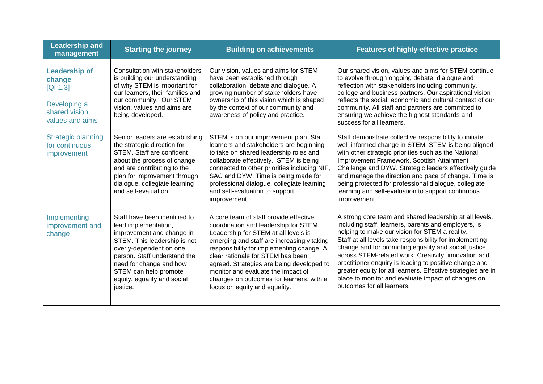| <b>Leadership and</b><br>management                                                             | <b>Starting the journey</b>                                                                                                                                                                                                                                                  | <b>Building on achievements</b>                                                                                                                                                                                                                                                                                                                                                                                         | <b>Features of highly-effective practice</b>                                                                                                                                                                                                                                                                                                                                                                                                                                                                                                                |
|-------------------------------------------------------------------------------------------------|------------------------------------------------------------------------------------------------------------------------------------------------------------------------------------------------------------------------------------------------------------------------------|-------------------------------------------------------------------------------------------------------------------------------------------------------------------------------------------------------------------------------------------------------------------------------------------------------------------------------------------------------------------------------------------------------------------------|-------------------------------------------------------------------------------------------------------------------------------------------------------------------------------------------------------------------------------------------------------------------------------------------------------------------------------------------------------------------------------------------------------------------------------------------------------------------------------------------------------------------------------------------------------------|
| <b>Leadership of</b><br>change<br>[Q1 1.3]<br>Developing a<br>shared vision,<br>values and aims | Consultation with stakeholders<br>is building our understanding<br>of why STEM is important for<br>our learners, their families and<br>our community. Our STEM<br>vision, values and aims are<br>being developed.                                                            | Our vision, values and aims for STEM<br>have been established through<br>collaboration, debate and dialogue. A<br>growing number of stakeholders have<br>ownership of this vision which is shaped<br>by the context of our community and<br>awareness of policy and practice.                                                                                                                                           | Our shared vision, values and aims for STEM continue<br>to evolve through ongoing debate, dialogue and<br>reflection with stakeholders including community,<br>college and business partners. Our aspirational vision<br>reflects the social, economic and cultural context of our<br>community. All staff and partners are committed to<br>ensuring we achieve the highest standards and<br>success for all learners.                                                                                                                                      |
| Strategic planning<br>for continuous<br>improvement                                             | Senior leaders are establishing<br>the strategic direction for<br>STEM. Staff are confident<br>about the process of change<br>and are contributing to the<br>plan for improvement through<br>dialogue, collegiate learning<br>and self-evaluation.                           | STEM is on our improvement plan. Staff,<br>learners and stakeholders are beginning<br>to take on shared leadership roles and<br>collaborate effectively. STEM is being<br>connected to other priorities including NIF,<br>SAC and DYW. Time is being made for<br>professional dialogue, collegiate learning<br>and self-evaluation to support<br>improvement.                                                           | Staff demonstrate collective responsibility to initiate<br>well-informed change in STEM. STEM is being aligned<br>with other strategic priorities such as the National<br>Improvement Framework, Scottish Attainment<br>Challenge and DYW. Strategic leaders effectively guide<br>and manage the direction and pace of change. Time is<br>being protected for professional dialogue, collegiate<br>learning and self-evaluation to support continuous<br>improvement.                                                                                       |
| Implementing<br>improvement and<br>change                                                       | Staff have been identified to<br>lead implementation,<br>improvement and change in<br>STEM. This leadership is not<br>overly-dependent on one<br>person. Staff understand the<br>need for change and how<br>STEM can help promote<br>equity, equality and social<br>justice. | A core team of staff provide effective<br>coordination and leadership for STEM.<br>Leadership for STEM at all levels is<br>emerging and staff are increasingly taking<br>responsibility for implementing change. A<br>clear rationale for STEM has been<br>agreed. Strategies are being developed to<br>monitor and evaluate the impact of<br>changes on outcomes for learners, with a<br>focus on equity and equality. | A strong core team and shared leadership at all levels,<br>including staff, learners, parents and employers, is<br>helping to make our vision for STEM a reality.<br>Staff at all levels take responsibility for implementing<br>change and for promoting equality and social justice<br>across STEM-related work. Creativity, innovation and<br>practitioner enquiry is leading to positive change and<br>greater equity for all learners. Effective strategies are in<br>place to monitor and evaluate impact of changes on<br>outcomes for all learners. |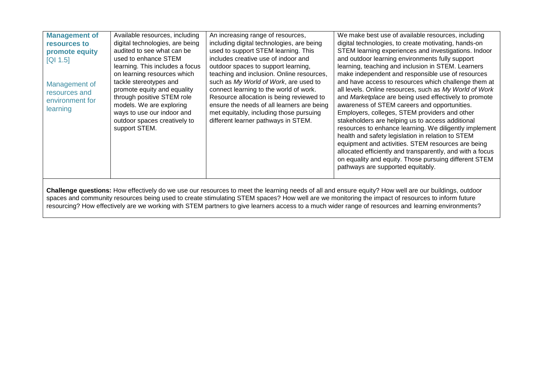| <b>Management of</b> | Available resources, including  | An increasing range of resources,          | We make best use of available resources, including                                                                                                    |
|----------------------|---------------------------------|--------------------------------------------|-------------------------------------------------------------------------------------------------------------------------------------------------------|
| resources to         | digital technologies, are being | including digital technologies, are being  | digital technologies, to create motivating, hands-on                                                                                                  |
| promote equity       | audited to see what can be      | used to support STEM learning. This        | STEM learning experiences and investigations. Indoor                                                                                                  |
| [Q1 1.5]             | used to enhance STEM            | includes creative use of indoor and        | and outdoor learning environments fully support                                                                                                       |
|                      | learning. This includes a focus | outdoor spaces to support learning,        | learning, teaching and inclusion in STEM. Learners                                                                                                    |
|                      | on learning resources which     | teaching and inclusion. Online resources,  | make independent and responsible use of resources                                                                                                     |
| Management of        | tackle stereotypes and          | such as My World of Work, are used to      | and have access to resources which challenge them at                                                                                                  |
| resources and        | promote equity and equality     | connect learning to the world of work.     | all levels. Online resources, such as My World of Work                                                                                                |
| environment for      | through positive STEM role      | Resource allocation is being reviewed to   | and Marketplace are being used effectively to promote                                                                                                 |
| learning             | models. We are exploring        | ensure the needs of all learners are being | awareness of STEM careers and opportunities.                                                                                                          |
|                      | ways to use our indoor and      | met equitably, including those pursuing    | Employers, colleges, STEM providers and other                                                                                                         |
|                      | outdoor spaces creatively to    | different learner pathways in STEM.        | stakeholders are helping us to access additional                                                                                                      |
|                      | support STEM.                   |                                            | resources to enhance learning. We diligently implement                                                                                                |
|                      |                                 |                                            | health and safety legislation in relation to STEM                                                                                                     |
|                      |                                 |                                            | equipment and activities. STEM resources are being                                                                                                    |
|                      |                                 |                                            | allocated efficiently and transparently, and with a focus                                                                                             |
|                      |                                 |                                            | on equality and equity. Those pursuing different STEM                                                                                                 |
|                      |                                 |                                            | pathways are supported equitably.                                                                                                                     |
|                      |                                 |                                            |                                                                                                                                                       |
|                      |                                 |                                            |                                                                                                                                                       |
|                      |                                 |                                            | Challenge questions: How effectively do we use our resources to meet the learning peeds of all and ensure equity? How well are our buildings, outdoor |

**Challenge questions:** How effectively do we use our resources to meet the learning needs of all and ensure equity? How well are our buildings, outdoor spaces and community resources being used to create stimulating STEM spaces? How well are we monitoring the impact of resources to inform future resourcing? How effectively are we working with STEM partners to give learners access to a much wider range of resources and learning environments?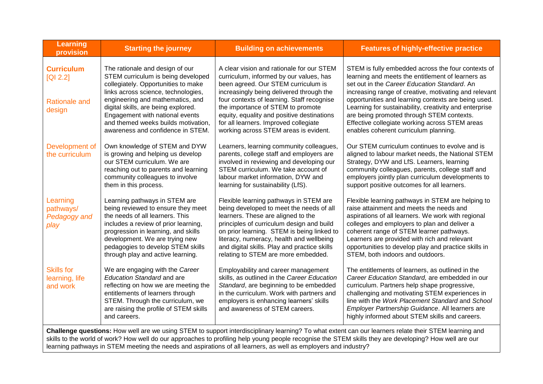| <b>Learning</b><br>provision                                                                                                                          | <b>Starting the journey</b>                                                                                                                                                                                                                                                                       | <b>Building on achievements</b>                                                                                                                                                                                                                                                                                                                        | <b>Features of highly-effective practice</b>                                                                                                                                                                                                                                                                                                                                                |
|-------------------------------------------------------------------------------------------------------------------------------------------------------|---------------------------------------------------------------------------------------------------------------------------------------------------------------------------------------------------------------------------------------------------------------------------------------------------|--------------------------------------------------------------------------------------------------------------------------------------------------------------------------------------------------------------------------------------------------------------------------------------------------------------------------------------------------------|---------------------------------------------------------------------------------------------------------------------------------------------------------------------------------------------------------------------------------------------------------------------------------------------------------------------------------------------------------------------------------------------|
| <b>Curriculum</b><br>[Q1 2.2]<br><b>Rationale and</b><br>design                                                                                       | The rationale and design of our<br>STEM curriculum is being developed<br>collegiately. Opportunities to make<br>links across science, technologies,<br>engineering and mathematics, and<br>digital skills, are being explored.<br>Engagement with national events                                 | A clear vision and rationale for our STEM<br>curriculum, informed by our values, has<br>been agreed. Our STEM curriculum is<br>increasingly being delivered through the<br>four contexts of learning. Staff recognise<br>the importance of STEM to promote<br>equity, equality and positive destinations                                               | STEM is fully embedded across the four contexts of<br>learning and meets the entitlement of learners as<br>set out in the Career Education Standard. An<br>increasing range of creative, motivating and relevant<br>opportunities and learning contexts are being used.<br>Learning for sustainability, creativity and enterprise<br>are being promoted through STEM contexts.              |
|                                                                                                                                                       | and themed weeks builds motivation,<br>awareness and confidence in STEM.                                                                                                                                                                                                                          | for all learners. Improved collegiate<br>working across STEM areas is evident.                                                                                                                                                                                                                                                                         | Effective collegiate working across STEM areas<br>enables coherent curriculum planning.                                                                                                                                                                                                                                                                                                     |
| Development of<br>the curriculum                                                                                                                      | Own knowledge of STEM and DYW<br>is growing and helping us develop<br>our STEM curriculum. We are<br>reaching out to parents and learning<br>community colleagues to involve<br>them in this process.                                                                                             | Learners, learning community colleagues,<br>parents, college staff and employers are<br>involved in reviewing and developing our<br>STEM curriculum. We take account of<br>labour market information, DYW and<br>learning for sustainability (LfS).                                                                                                    | Our STEM curriculum continues to evolve and is<br>aligned to labour market needs, the National STEM<br>Strategy, DYW and LfS. Learners, learning<br>community colleagues, parents, college staff and<br>employers jointly plan curriculum developments to<br>support positive outcomes for all learners.                                                                                    |
| Learning<br>pathways/<br>Pedagogy and<br>play                                                                                                         | Learning pathways in STEM are<br>being reviewed to ensure they meet<br>the needs of all learners. This<br>includes a review of prior learning,<br>progression in learning, and skills<br>development. We are trying new<br>pedagogies to develop STEM skills<br>through play and active learning. | Flexible learning pathways in STEM are<br>being developed to meet the needs of all<br>learners. These are aligned to the<br>principles of curriculum design and build<br>on prior learning. STEM is being linked to<br>literacy, numeracy, health and wellbeing<br>and digital skills. Play and practice skills<br>relating to STEM are more embedded. | Flexible learning pathways in STEM are helping to<br>raise attainment and meets the needs and<br>aspirations of all learners. We work with regional<br>colleges and employers to plan and deliver a<br>coherent range of STEM learner pathways.<br>Learners are provided with rich and relevant<br>opportunities to develop play and practice skills in<br>STEM, both indoors and outdoors. |
| <b>Skills for</b><br>learning, life<br>and work                                                                                                       | We are engaging with the Career<br><b>Education Standard and are</b><br>reflecting on how we are meeting the<br>entitlements of learners through<br>STEM. Through the curriculum, we<br>are raising the profile of STEM skills<br>and careers.                                                    | Employability and career management<br>skills, as outlined in the Career Education<br>Standard, are beginning to be embedded<br>in the curriculum. Work with partners and<br>employers is enhancing learners' skills<br>and awareness of STEM careers.                                                                                                 | The entitlements of learners, as outlined in the<br>Career Education Standard, are embedded in our<br>curriculum. Partners help shape progressive,<br>challenging and motivating STEM experiences in<br>line with the Work Placement Standard and School<br>Employer Partnership Guidance. All learners are<br>highly informed about STEM skills and careers.                               |
| Challenge questions: How well are we using STEM to support interdisciplinary learning? To what extent can our learners relate their STEM learning and |                                                                                                                                                                                                                                                                                                   |                                                                                                                                                                                                                                                                                                                                                        |                                                                                                                                                                                                                                                                                                                                                                                             |

**Challenge questions:** How well are we using STEM to support interdisciplinary learning? To what extent can our learners relate their STEM learning and skills to the world of work? How well do our approaches to profiling help young people recognise the STEM skills they are developing? How well are our learning pathways in STEM meeting the needs and aspirations of all learners, as well as employers and industry?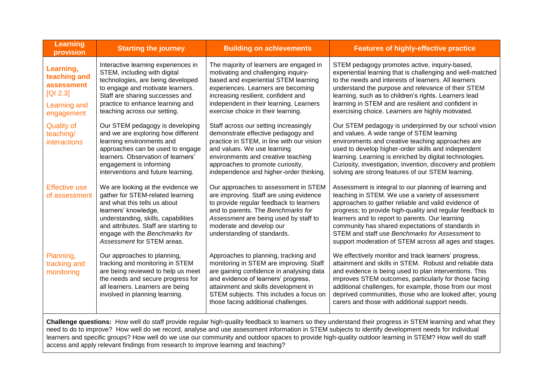| <b>Learning</b><br>provision                                                                                                                              | <b>Starting the journey</b>                                                                                                                                                                                                                                                   | <b>Building on achievements</b>                                                                                                                                                                                                                                                              | <b>Features of highly-effective practice</b>                                                                                                                                                                                                                                                                                                                                                                                                        |
|-----------------------------------------------------------------------------------------------------------------------------------------------------------|-------------------------------------------------------------------------------------------------------------------------------------------------------------------------------------------------------------------------------------------------------------------------------|----------------------------------------------------------------------------------------------------------------------------------------------------------------------------------------------------------------------------------------------------------------------------------------------|-----------------------------------------------------------------------------------------------------------------------------------------------------------------------------------------------------------------------------------------------------------------------------------------------------------------------------------------------------------------------------------------------------------------------------------------------------|
| Learning,<br>teaching and<br><b>assessment</b><br>[Q1 2.3]<br>Learning and<br>engagement                                                                  | Interactive learning experiences in<br>STEM, including with digital<br>technologies, are being developed<br>to engage and motivate learners.<br>Staff are sharing successes and<br>practice to enhance learning and<br>teaching across our setting.                           | The majority of learners are engaged in<br>motivating and challenging inquiry-<br>based and experiential STEM learning<br>experiences. Learners are becoming<br>increasing resilient, confident and<br>independent in their learning. Learners<br>exercise choice in their learning.         | STEM pedagogy promotes active, inquiry-based,<br>experiential learning that is challenging and well-matched<br>to the needs and interests of learners. All learners<br>understand the purpose and relevance of their STEM<br>learning, such as to children's rights. Learners lead<br>learning in STEM and are resilient and confident in<br>exercising choice. Learners are highly motivated.                                                      |
| <b>Quality of</b><br>teaching/<br><i>interactions</i>                                                                                                     | Our STEM pedagogy is developing<br>and we are exploring how different<br>learning environments and<br>approaches can be used to engage<br>learners. Observation of learners'<br>engagement is informing<br>interventions and future learning.                                 | Staff across our setting increasingly<br>demonstrate effective pedagogy and<br>practice in STEM, in line with our vision<br>and values. We use learning<br>environments and creative teaching<br>approaches to promote curiosity,<br>independence and higher-order thinking                  | Our STEM pedagogy is underpinned by our school vision<br>and values. A wide range of STEM learning<br>environments and creative teaching approaches are<br>used to develop higher-order skills and independent<br>learning. Learning is enriched by digital technologies.<br>Curiosity, investigation, invention, discovery and problem<br>solving are strong features of our STEM learning.                                                        |
| <b>Effective use</b><br>of assessment                                                                                                                     | We are looking at the evidence we<br>gather for STEM-related learning<br>and what this tells us about<br>learners' knowledge,<br>understanding, skills, capabilities<br>and attributes. Staff are starting to<br>engage with the Benchmarks for<br>Assessment for STEM areas. | Our approaches to assessment in STEM<br>are improving. Staff are using evidence<br>to provide regular feedback to learners<br>and to parents. The Benchmarks for<br>Assessment are being used by staff to<br>moderate and develop our<br>understanding of standards.                         | Assessment is integral to our planning of learning and<br>teaching in STEM. We use a variety of assessment<br>approaches to gather reliable and valid evidence of<br>progress; to provide high-quality and regular feedback to<br>learners and to report to parents. Our learning<br>community has shared expectations of standards in<br>STEM and staff use Benchmarks for Assessment to<br>support moderation of STEM across all ages and stages. |
| Planning,<br>tracking and<br>monitoring                                                                                                                   | Our approaches to planning,<br>tracking and monitoring in STEM<br>are being reviewed to help us meet<br>the needs and secure progress for<br>all learners. Learners are being<br>involved in planning learning.                                                               | Approaches to planning, tracking and<br>monitoring in STEM are improving. Staff<br>are gaining confidence in analysing data<br>and evidence of learners' progress,<br>attainment and skills development in<br>STEM subjects. This includes a focus on<br>those facing additional challenges. | We effectively monitor and track learners' progress,<br>attainment and skills in STEM. Robust and reliable data<br>and evidence is being used to plan interventions. This<br>improves STEM outcomes, particularly for those facing<br>additional challenges, for example, those from our most<br>deprived communities, those who are looked after, young<br>carers and those with additional support needs.                                         |
| Challenge questions: How well do staff provide regular high-quality feedback to learners so they understand their progress in STEM learning and what they |                                                                                                                                                                                                                                                                               |                                                                                                                                                                                                                                                                                              |                                                                                                                                                                                                                                                                                                                                                                                                                                                     |

need to do to improve? How well do we record, analyse and use assessment information in STEM subjects to identify development needs for individual learners and specific groups? How well do we use our community and outdoor spaces to provide high-quality outdoor learning in STEM? How well do staff access and apply relevant findings from research to improve learning and teaching?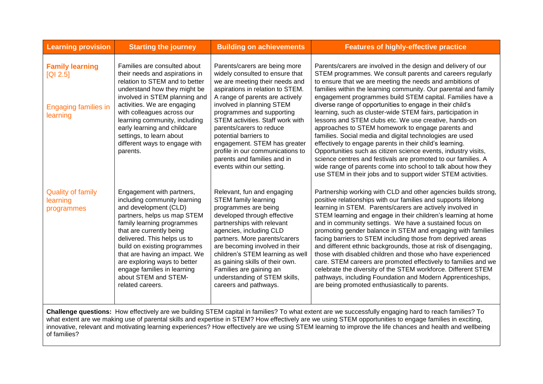| <b>Learning provision</b>                                                                                                                                    | <b>Starting the journey</b>                                                                                                                                                                                                                                                                                                                                                            | <b>Building on achievements</b>                                                                                                                                                                                                                                                                                                                                                                                                                               | <b>Features of highly-effective practice</b>                                                                                                                                                                                                                                                                                                                                                                                                                                                                                                                                                                                                                                                                                                                                                                                                                                                                                                                 |
|--------------------------------------------------------------------------------------------------------------------------------------------------------------|----------------------------------------------------------------------------------------------------------------------------------------------------------------------------------------------------------------------------------------------------------------------------------------------------------------------------------------------------------------------------------------|---------------------------------------------------------------------------------------------------------------------------------------------------------------------------------------------------------------------------------------------------------------------------------------------------------------------------------------------------------------------------------------------------------------------------------------------------------------|--------------------------------------------------------------------------------------------------------------------------------------------------------------------------------------------------------------------------------------------------------------------------------------------------------------------------------------------------------------------------------------------------------------------------------------------------------------------------------------------------------------------------------------------------------------------------------------------------------------------------------------------------------------------------------------------------------------------------------------------------------------------------------------------------------------------------------------------------------------------------------------------------------------------------------------------------------------|
| <b>Family learning</b><br>[Q1 2.5]<br><b>Engaging families in</b><br>learning                                                                                | Families are consulted about<br>their needs and aspirations in<br>relation to STEM and to better<br>understand how they might be<br>involved in STEM planning and<br>activities. We are engaging<br>with colleagues across our<br>learning community, including<br>early learning and childcare<br>settings, to learn about<br>different ways to engage with<br>parents.               | Parents/carers are being more<br>widely consulted to ensure that<br>we are meeting their needs and<br>aspirations in relation to STEM.<br>A range of parents are actively<br>involved in planning STEM<br>programmes and supporting<br>STEM activities. Staff work with<br>parents/carers to reduce<br>potential barriers to<br>engagement. STEM has greater<br>profile in our communications to<br>parents and families and in<br>events within our setting. | Parents/carers are involved in the design and delivery of our<br>STEM programmes. We consult parents and careers regularly<br>to ensure that we are meeting the needs and ambitions of<br>families within the learning community. Our parental and family<br>engagement programmes build STEM capital. Families have a<br>diverse range of opportunities to engage in their child's<br>learning, such as cluster-wide STEM fairs, participation in<br>lessons and STEM clubs etc. We use creative, hands-on<br>approaches to STEM homework to engage parents and<br>families. Social media and digital technologies are used<br>effectively to engage parents in their child's learning.<br>Opportunities such as citizen science events, industry visits,<br>science centres and festivals are promoted to our families. A<br>wide range of parents come into school to talk about how they<br>use STEM in their jobs and to support wider STEM activities. |
| <b>Quality of family</b><br>learning<br>programmes                                                                                                           | Engagement with partners,<br>including community learning<br>and development (CLD)<br>partners, helps us map STEM<br>family learning programmes<br>that are currently being<br>delivered. This helps us to<br>build on existing programmes<br>that are having an impact. We<br>are exploring ways to better<br>engage families in learning<br>about STEM and STEM-<br>related careers. | Relevant, fun and engaging<br><b>STEM family learning</b><br>programmes are being<br>developed through effective<br>partnerships with relevant<br>agencies, including CLD<br>partners. More parents/carers<br>are becoming involved in their<br>children's STEM learning as well<br>as gaining skills of their own.<br>Families are gaining an<br>understanding of STEM skills,<br>careers and pathways.                                                      | Partnership working with CLD and other agencies builds strong,<br>positive relationships with our families and supports lifelong<br>learning in STEM. Parents/carers are actively involved in<br>STEM learning and engage in their children's learning at home<br>and in community settings. We have a sustained focus on<br>promoting gender balance in STEM and engaging with families<br>facing barriers to STEM including those from deprived areas<br>and different ethnic backgrounds, those at risk of disengaging,<br>those with disabled children and those who have experienced<br>care. STEM careers are promoted effectively to families and we<br>celebrate the diversity of the STEM workforce. Different STEM<br>pathways, including Foundation and Modern Apprenticeships,<br>are being promoted enthusiastically to parents.                                                                                                                |
| <b>Challenge questions:</b> How effectively are we building STEM capital in families? To what extent are we successfully engaging hard to reach families? To |                                                                                                                                                                                                                                                                                                                                                                                        |                                                                                                                                                                                                                                                                                                                                                                                                                                                               |                                                                                                                                                                                                                                                                                                                                                                                                                                                                                                                                                                                                                                                                                                                                                                                                                                                                                                                                                              |

**Challenge questions:** How effectively are we building STEM capital in families? To what extent are we successfully engaging hard to reach families? To what extent are we making use of parental skills and expertise in STEM? How effectively are we using STEM opportunities to engage families in exciting, innovative, relevant and motivating learning experiences? How effectively are we using STEM learning to improve the life chances and health and wellbeing of families?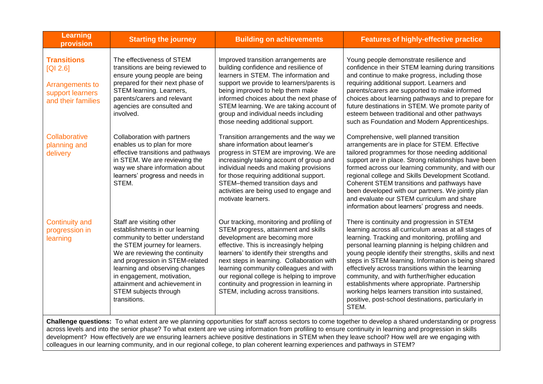| <b>Learning</b><br>provision                                                                                                                                                                                                                                                                                          | <b>Starting the journey</b>                                                                                                                                                                                                                                                                                                                    | <b>Building on achievements</b>                                                                                                                                                                                                                                                                                                                                                                                                      | <b>Features of highly-effective practice</b>                                                                                                                                                                                                                                                                                                                                                                                                                                                                                                                                                                |
|-----------------------------------------------------------------------------------------------------------------------------------------------------------------------------------------------------------------------------------------------------------------------------------------------------------------------|------------------------------------------------------------------------------------------------------------------------------------------------------------------------------------------------------------------------------------------------------------------------------------------------------------------------------------------------|--------------------------------------------------------------------------------------------------------------------------------------------------------------------------------------------------------------------------------------------------------------------------------------------------------------------------------------------------------------------------------------------------------------------------------------|-------------------------------------------------------------------------------------------------------------------------------------------------------------------------------------------------------------------------------------------------------------------------------------------------------------------------------------------------------------------------------------------------------------------------------------------------------------------------------------------------------------------------------------------------------------------------------------------------------------|
| <b>Transitions</b><br>[QI 2.6]<br>Arrangements to<br>support learners<br>and their families                                                                                                                                                                                                                           | The effectiveness of STEM<br>transitions are being reviewed to<br>ensure young people are being<br>prepared for their next phase of<br>STEM learning. Learners,<br>parents/carers and relevant<br>agencies are consulted and<br>involved.                                                                                                      | Improved transition arrangements are<br>building confidence and resilience of<br>learners in STEM. The information and<br>support we provide to learners/parents is<br>being improved to help them make<br>informed choices about the next phase of<br>STEM learning. We are taking account of<br>group and individual needs including<br>those needing additional support.                                                          | Young people demonstrate resilience and<br>confidence in their STEM learning during transitions<br>and continue to make progress, including those<br>requiring additional support. Learners and<br>parents/carers are supported to make informed<br>choices about learning pathways and to prepare for<br>future destinations in STEM. We promote parity of<br>esteem between traditional and other pathways<br>such as Foundation and Modern Apprenticeships.                                                                                                                                              |
| Collaborative<br>planning and<br>delivery                                                                                                                                                                                                                                                                             | Collaboration with partners<br>enables us to plan for more<br>effective transitions and pathways<br>in STEM. We are reviewing the<br>way we share information about<br>learners' progress and needs in<br>STEM.                                                                                                                                | Transition arrangements and the way we<br>share information about learner's<br>progress in STEM are improving. We are<br>increasingly taking account of group and<br>individual needs and making provisions<br>for those requiring additional support.<br>STEM-themed transition days and<br>activities are being used to engage and<br>motivate learners.                                                                           | Comprehensive, well planned transition<br>arrangements are in place for STEM. Effective<br>tailored programmes for those needing additional<br>support are in place. Strong relationships have been<br>formed across our learning community, and with our<br>regional college and Skills Development Scotland.<br>Coherent STEM transitions and pathways have<br>been developed with our partners. We jointly plan<br>and evaluate our STEM curriculum and share<br>information about learners' progress and needs.                                                                                         |
| <b>Continuity and</b><br>progression in<br>learning                                                                                                                                                                                                                                                                   | Staff are visiting other<br>establishments in our learning<br>community to better understand<br>the STEM journey for learners.<br>We are reviewing the continuity<br>and progression in STEM-related<br>learning and observing changes<br>in engagement, motivation,<br>attainment and achievement in<br>STEM subjects through<br>transitions. | Our tracking, monitoring and profiling of<br>STEM progress, attainment and skills<br>development are becoming more<br>effective. This is increasingly helping<br>learners' to identify their strengths and<br>next steps in learning. Collaboration with<br>learning community colleagues and with<br>our regional college is helping to improve<br>continuity and progression in learning in<br>STEM, including across transitions. | There is continuity and progression in STEM<br>learning across all curriculum areas at all stages of<br>learning. Tracking and monitoring, profiling and<br>personal learning planning is helping children and<br>young people identify their strengths, skills and next<br>steps in STEM learning. Information is being shared<br>effectively across transitions within the learning<br>community, and with further/higher education<br>establishments where appropriate. Partnership<br>working helps learners transition into sustained,<br>positive, post-school destinations, particularly in<br>STEM. |
| Challenge questions: To what extent are we planning opportunities for staff across sectors to come together to develop a shared understanding or progress<br>across lovels and into the septembers? To what extent are we using information from profiling to ensure continuity in Jearning and progression in skills |                                                                                                                                                                                                                                                                                                                                                |                                                                                                                                                                                                                                                                                                                                                                                                                                      |                                                                                                                                                                                                                                                                                                                                                                                                                                                                                                                                                                                                             |

across levels and into the senior phase? To what extent are we using information from profiling to ensure continuity in learning and progression in skills development? How effectively are we ensuring learners achieve positive destinations in STEM when they leave school? How well are we engaging with colleagues in our learning community, and in our regional college, to plan coherent learning experiences and pathways in STEM?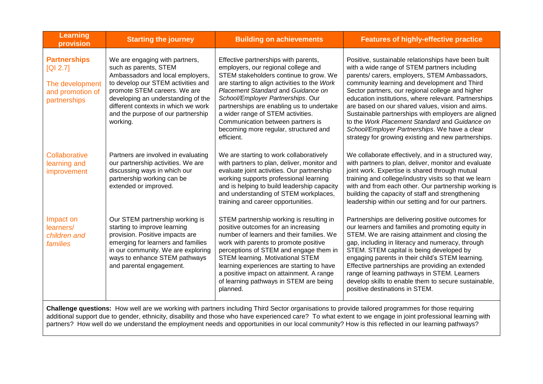| <b>Learning</b><br>provision                                                           | <b>Starting the journey</b>                                                                                                                                                                                                                                                                      | <b>Building on achievements</b>                                                                                                                                                                                                                                                                                                                                                                                                | <b>Features of highly-effective practice</b>                                                                                                                                                                                                                                                                                                                                                                                                                                                                                                                                          |
|----------------------------------------------------------------------------------------|--------------------------------------------------------------------------------------------------------------------------------------------------------------------------------------------------------------------------------------------------------------------------------------------------|--------------------------------------------------------------------------------------------------------------------------------------------------------------------------------------------------------------------------------------------------------------------------------------------------------------------------------------------------------------------------------------------------------------------------------|---------------------------------------------------------------------------------------------------------------------------------------------------------------------------------------------------------------------------------------------------------------------------------------------------------------------------------------------------------------------------------------------------------------------------------------------------------------------------------------------------------------------------------------------------------------------------------------|
| <b>Partnerships</b><br>[Q1 2.7]<br>The development<br>and promotion of<br>partnerships | We are engaging with partners,<br>such as parents, STEM<br>Ambassadors and local employers,<br>to develop our STEM activities and<br>promote STEM careers. We are<br>developing an understanding of the<br>different contexts in which we work<br>and the purpose of our partnership<br>working. | Effective partnerships with parents,<br>employers, our regional college and<br>STEM stakeholders continue to grow. We<br>are starting to align activities to the Work<br>Placement Standard and Guidance on<br>School/Employer Partnerships. Our<br>partnerships are enabling us to undertake<br>a wider range of STEM activities.<br>Communication between partners is<br>becoming more regular, structured and<br>efficient. | Positive, sustainable relationships have been built<br>with a wide range of STEM partners including<br>parents/ carers, employers, STEM Ambassadors,<br>community learning and development and Third<br>Sector partners, our regional college and higher<br>education institutions, where relevant. Partnerships<br>are based on our shared values, vision and aims.<br>Sustainable partnerships with employers are aligned<br>to the Work Placement Standard and Guidance on<br>School/Employer Partnerships. We have a clear<br>strategy for growing existing and new partnerships. |
| Collaborative<br>learning and<br>improvement                                           | Partners are involved in evaluating<br>our partnership activities. We are<br>discussing ways in which our<br>partnership working can be<br>extended or improved.                                                                                                                                 | We are starting to work collaboratively<br>with partners to plan, deliver, monitor and<br>evaluate joint activities. Our partnership<br>working supports professional learning<br>and is helping to build leadership capacity<br>and understanding of STEM workplaces,<br>training and career opportunities.                                                                                                                   | We collaborate effectively, and in a structured way,<br>with partners to plan, deliver, monitor and evaluate<br>joint work. Expertise is shared through mutual<br>training and college/industry visits so that we learn<br>with and from each other. Our partnership working is<br>building the capacity of staff and strengthening<br>leadership within our setting and for our partners.                                                                                                                                                                                            |
| Impact on<br>learners/<br>children and<br>families                                     | Our STEM partnership working is<br>starting to improve learning<br>provision. Positive impacts are<br>emerging for learners and families<br>in our community. We are exploring<br>ways to enhance STEM pathways<br>and parental engagement.                                                      | STEM partnership working is resulting in<br>positive outcomes for an increasing<br>number of learners and their families. We<br>work with parents to promote positive<br>perceptions of STEM and engage them in<br><b>STEM learning. Motivational STEM</b><br>learning experiences are starting to have<br>a positive impact on attainment. A range<br>of learning pathways in STEM are being<br>planned.                      | Partnerships are delivering positive outcomes for<br>our learners and families and promoting equity in<br>STEM. We are raising attainment and closing the<br>gap, including in literacy and numeracy, through<br>STEM. STEM capital is being developed by<br>engaging parents in their child's STEM learning.<br>Effective partnerships are providing an extended<br>range of learning pathways in STEM. Learners<br>develop skills to enable them to secure sustainable,<br>positive destinations in STEM.                                                                           |

**Challenge questions:** How well are we working with partners including Third Sector organisations to provide tailored programmes for those requiring additional support due to gender, ethnicity, disability and those who have experienced care? To what extent to we engage in joint professional learning with partners? How well do we understand the employment needs and opportunities in our local community? How is this reflected in our learning pathways?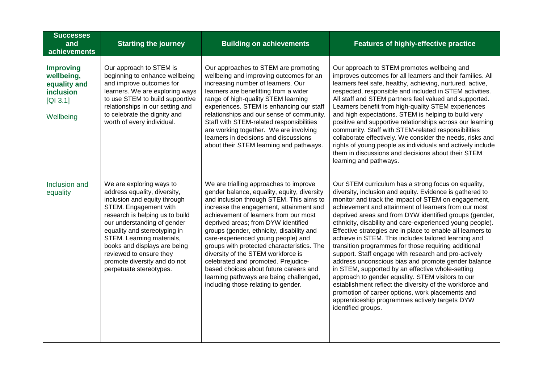| <b>Successes</b><br>and<br>achievements                                              | <b>Starting the journey</b>                                                                                                                                                                                                                                                                                                                                            | <b>Building on achievements</b>                                                                                                                                                                                                                                                                                                                                                                                                                                                                                                                                                                        | <b>Features of highly-effective practice</b>                                                                                                                                                                                                                                                                                                                                                                                                                                                                                                                                                                                                                                                                                                                                                                                                                                                                                                         |
|--------------------------------------------------------------------------------------|------------------------------------------------------------------------------------------------------------------------------------------------------------------------------------------------------------------------------------------------------------------------------------------------------------------------------------------------------------------------|--------------------------------------------------------------------------------------------------------------------------------------------------------------------------------------------------------------------------------------------------------------------------------------------------------------------------------------------------------------------------------------------------------------------------------------------------------------------------------------------------------------------------------------------------------------------------------------------------------|------------------------------------------------------------------------------------------------------------------------------------------------------------------------------------------------------------------------------------------------------------------------------------------------------------------------------------------------------------------------------------------------------------------------------------------------------------------------------------------------------------------------------------------------------------------------------------------------------------------------------------------------------------------------------------------------------------------------------------------------------------------------------------------------------------------------------------------------------------------------------------------------------------------------------------------------------|
| <b>Improving</b><br>wellbeing,<br>equality and<br>inclusion<br>[QI 3.1]<br>Wellbeing | Our approach to STEM is<br>beginning to enhance wellbeing<br>and improve outcomes for<br>learners. We are exploring ways<br>to use STEM to build supportive<br>relationships in our setting and<br>to celebrate the dignity and<br>worth of every individual.                                                                                                          | Our approaches to STEM are promoting<br>wellbeing and improving outcomes for an<br>increasing number of learners. Our<br>learners are benefitting from a wider<br>range of high-quality STEM learning<br>experiences. STEM is enhancing our staff<br>relationships and our sense of community.<br>Staff with STEM-related responsibilities<br>are working together. We are involving<br>learners in decisions and discussions<br>about their STEM learning and pathways.                                                                                                                               | Our approach to STEM promotes wellbeing and<br>improves outcomes for all learners and their families. All<br>learners feel safe, healthy, achieving, nurtured, active,<br>respected, responsible and included in STEM activities.<br>All staff and STEM partners feel valued and supported.<br>Learners benefit from high-quality STEM experiences<br>and high expectations. STEM is helping to build very<br>positive and supportive relationships across our learning<br>community. Staff with STEM-related responsibilities<br>collaborate effectively. We consider the needs, risks and<br>rights of young people as individuals and actively include<br>them in discussions and decisions about their STEM<br>learning and pathways.                                                                                                                                                                                                            |
| Inclusion and<br>equality                                                            | We are exploring ways to<br>address equality, diversity,<br>inclusion and equity through<br>STEM. Engagement with<br>research is helping us to build<br>our understanding of gender<br>equality and stereotyping in<br>STEM. Learning materials,<br>books and displays are being<br>reviewed to ensure they<br>promote diversity and do not<br>perpetuate stereotypes. | We are trialling approaches to improve<br>gender balance, equality, equity, diversity<br>and inclusion through STEM. This aims to<br>increase the engagement, attainment and<br>achievement of learners from our most<br>deprived areas; from DYW identified<br>groups (gender, ethnicity, disability and<br>care-experienced young people) and<br>groups with protected characteristics. The<br>diversity of the STEM workforce is<br>celebrated and promoted. Prejudice-<br>based choices about future careers and<br>learning pathways are being challenged,<br>including those relating to gender. | Our STEM curriculum has a strong focus on equality,<br>diversity, inclusion and equity. Evidence is gathered to<br>monitor and track the impact of STEM on engagement,<br>achievement and attainment of learners from our most<br>deprived areas and from DYW identified groups (gender,<br>ethnicity, disability and care-experienced young people).<br>Effective strategies are in place to enable all learners to<br>achieve in STEM. This includes tailored learning and<br>transition programmes for those requiring additional<br>support. Staff engage with research and pro-actively<br>address unconscious bias and promote gender balance<br>in STEM, supported by an effective whole-setting<br>approach to gender equality. STEM visitors to our<br>establishment reflect the diversity of the workforce and<br>promotion of career options, work placements and<br>apprenticeship programmes actively targets DYW<br>identified groups. |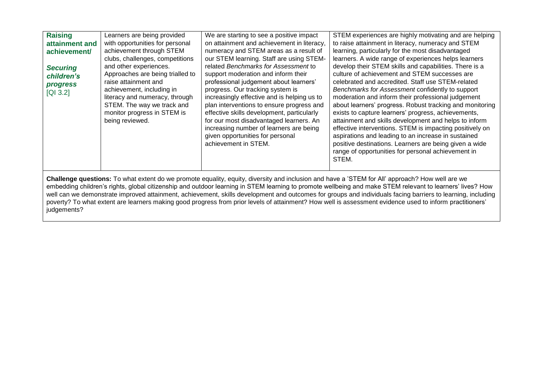| <b>Raising</b><br>attainment and<br>achievement/<br><b>Securing</b><br>children's<br><b>progress</b><br>[QI 3.2]                                                                                                                                                                                                                                                                                                                                                                                                                                                                                                                                       | Learners are being provided<br>with opportunities for personal<br>achievement through STEM<br>clubs, challenges, competitions<br>and other experiences.<br>Approaches are being trialled to<br>raise attainment and<br>achievement, including in<br>literacy and numeracy, through<br>STEM. The way we track and<br>monitor progress in STEM is<br>being reviewed. | We are starting to see a positive impact<br>on attainment and achievement in literacy,<br>numeracy and STEM areas as a result of<br>our STEM learning. Staff are using STEM-<br>related Benchmarks for Assessment to<br>support moderation and inform their<br>professional judgement about learners'<br>progress. Our tracking system is<br>increasingly effective and is helping us to<br>plan interventions to ensure progress and<br>effective skills development, particularly<br>for our most disadvantaged learners. An<br>increasing number of learners are being<br>given opportunities for personal<br>achievement in STEM. | STEM experiences are highly motivating and are helping<br>to raise attainment in literacy, numeracy and STEM<br>learning, particularly for the most disadvantaged<br>learners. A wide range of experiences helps learners<br>develop their STEM skills and capabilities. There is a<br>culture of achievement and STEM successes are<br>celebrated and accredited. Staff use STEM-related<br>Benchmarks for Assessment confidently to support<br>moderation and inform their professional judgement<br>about learners' progress. Robust tracking and monitoring<br>exists to capture learners' progress, achievements,<br>attainment and skills development and helps to inform<br>effective interventions. STEM is impacting positively on<br>aspirations and leading to an increase in sustained<br>positive destinations. Learners are being given a wide<br>range of opportunities for personal achievement in<br>STEM. |  |
|--------------------------------------------------------------------------------------------------------------------------------------------------------------------------------------------------------------------------------------------------------------------------------------------------------------------------------------------------------------------------------------------------------------------------------------------------------------------------------------------------------------------------------------------------------------------------------------------------------------------------------------------------------|--------------------------------------------------------------------------------------------------------------------------------------------------------------------------------------------------------------------------------------------------------------------------------------------------------------------------------------------------------------------|---------------------------------------------------------------------------------------------------------------------------------------------------------------------------------------------------------------------------------------------------------------------------------------------------------------------------------------------------------------------------------------------------------------------------------------------------------------------------------------------------------------------------------------------------------------------------------------------------------------------------------------|-----------------------------------------------------------------------------------------------------------------------------------------------------------------------------------------------------------------------------------------------------------------------------------------------------------------------------------------------------------------------------------------------------------------------------------------------------------------------------------------------------------------------------------------------------------------------------------------------------------------------------------------------------------------------------------------------------------------------------------------------------------------------------------------------------------------------------------------------------------------------------------------------------------------------------|--|
| Challenge questions: To what extent do we promote equality, equity, diversity and inclusion and have a 'STEM for All' approach? How well are we<br>embedding children's rights, global citizenship and outdoor learning in STEM learning to promote wellbeing and make STEM relevant to learners' lives? How<br>well can we demonstrate improved attainment, achievement, skills development and outcomes for groups and individuals facing barriers to learning, including<br>poverty? To what extent are learners making good progress from prior levels of attainment? How well is assessment evidence used to inform practitioners'<br>judgements? |                                                                                                                                                                                                                                                                                                                                                                    |                                                                                                                                                                                                                                                                                                                                                                                                                                                                                                                                                                                                                                       |                                                                                                                                                                                                                                                                                                                                                                                                                                                                                                                                                                                                                                                                                                                                                                                                                                                                                                                             |  |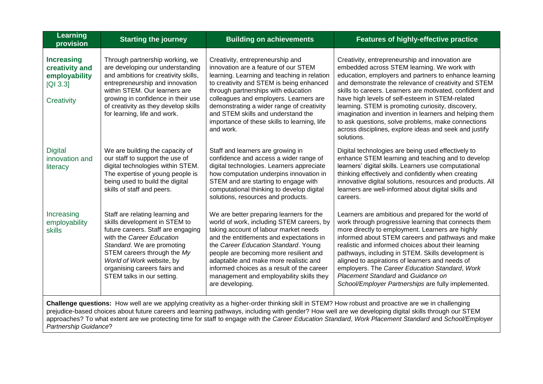| Learning<br>provision                                                                                                                                                                                                                                                                                                                                                                                                                                                                        | <b>Starting the journey</b>                                                                                                                                                                                                                                                                   | <b>Building on achievements</b>                                                                                                                                                                                                                                                                                                                                                                                    | <b>Features of highly-effective practice</b>                                                                                                                                                                                                                                                                                                                                                                                                                                                                                                                                |
|----------------------------------------------------------------------------------------------------------------------------------------------------------------------------------------------------------------------------------------------------------------------------------------------------------------------------------------------------------------------------------------------------------------------------------------------------------------------------------------------|-----------------------------------------------------------------------------------------------------------------------------------------------------------------------------------------------------------------------------------------------------------------------------------------------|--------------------------------------------------------------------------------------------------------------------------------------------------------------------------------------------------------------------------------------------------------------------------------------------------------------------------------------------------------------------------------------------------------------------|-----------------------------------------------------------------------------------------------------------------------------------------------------------------------------------------------------------------------------------------------------------------------------------------------------------------------------------------------------------------------------------------------------------------------------------------------------------------------------------------------------------------------------------------------------------------------------|
| <b>Increasing</b><br>creativity and<br>employability<br>[Q1 3.3]<br>Creativity                                                                                                                                                                                                                                                                                                                                                                                                               | Through partnership working, we<br>are developing our understanding<br>and ambitions for creativity skills,<br>entrepreneurship and innovation<br>within STEM. Our learners are<br>growing in confidence in their use<br>of creativity as they develop skills<br>for learning, life and work. | Creativity, entrepreneurship and<br>innovation are a feature of our STEM<br>learning. Learning and teaching in relation<br>to creativity and STEM is being enhanced<br>through partnerships with education<br>colleagues and employers. Learners are<br>demonstrating a wider range of creativity<br>and STEM skills and understand the<br>importance of these skills to learning, life<br>and work.               | Creativity, entrepreneurship and innovation are<br>embedded across STEM learning. We work with<br>education, employers and partners to enhance learning<br>and demonstrate the relevance of creativity and STEM<br>skills to careers. Learners are motivated, confident and<br>have high levels of self-esteem in STEM-related<br>learning. STEM is promoting curiosity, discovery,<br>imagination and invention in learners and helping them<br>to ask questions, solve problems, make connections<br>across disciplines, explore ideas and seek and justify<br>solutions. |
| <b>Digital</b><br>innovation and<br>literacy                                                                                                                                                                                                                                                                                                                                                                                                                                                 | We are building the capacity of<br>our staff to support the use of<br>digital technologies within STEM.<br>The expertise of young people is<br>being used to build the digital<br>skills of staff and peers.                                                                                  | Staff and learners are growing in<br>confidence and access a wider range of<br>digital technologies. Learners appreciate<br>how computation underpins innovation in<br>STEM and are starting to engage with<br>computational thinking to develop digital<br>solutions, resources and products.                                                                                                                     | Digital technologies are being used effectively to<br>enhance STEM learning and teaching and to develop<br>learners' digital skills. Learners use computational<br>thinking effectively and confidently when creating<br>innovative digital solutions, resources and products. All<br>learners are well-informed about digital skills and<br>careers.                                                                                                                                                                                                                       |
| Increasing<br>employability<br><b>skills</b>                                                                                                                                                                                                                                                                                                                                                                                                                                                 | Staff are relating learning and<br>skills development in STEM to<br>future careers. Staff are engaging<br>with the Career Education<br>Standard. We are promoting<br>STEM careers through the My<br>World of Work website, by<br>organising careers fairs and<br>STEM talks in our setting.   | We are better preparing learners for the<br>world of work, including STEM careers, by<br>taking account of labour market needs<br>and the entitlements and expectations in<br>the Career Education Standard. Young<br>people are becoming more resilient and<br>adaptable and make more realistic and<br>informed choices as a result of the career<br>management and employability skills they<br>are developing. | Learners are ambitious and prepared for the world of<br>work through progressive learning that connects them<br>more directly to employment. Learners are highly<br>informed about STEM careers and pathways and make<br>realistic and informed choices about their learning<br>pathways, including in STEM. Skills development is<br>aligned to aspirations of learners and needs of<br>employers. The Career Education Standard, Work<br>Placement Standard and Guidance on<br>School/Employer Partnerships are fully implemented.                                        |
| Challenge questions: How well are we applying creativity as a higher-order thinking skill in STEM? How robust and proactive are we in challenging<br>prejudice-based choices about future careers and learning pathways, including with gender? How well are we developing digital skills through our STEM<br>approaches? To what extent are we protecting time for staff to engage with the Career Education Standard, Work Placement Standard and School/Employer<br>Partnership Guidance? |                                                                                                                                                                                                                                                                                               |                                                                                                                                                                                                                                                                                                                                                                                                                    |                                                                                                                                                                                                                                                                                                                                                                                                                                                                                                                                                                             |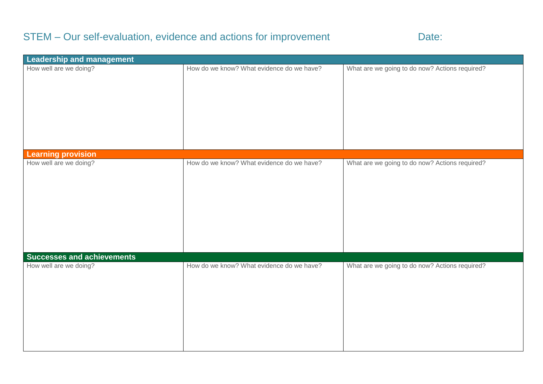## STEM – Our self-evaluation, evidence and actions for improvement Date:

| Leadership and management         |                                           |                                                |
|-----------------------------------|-------------------------------------------|------------------------------------------------|
| How well are we doing?            | How do we know? What evidence do we have? | What are we going to do now? Actions required? |
| <b>Learning provision</b>         |                                           |                                                |
| How well are we doing?            | How do we know? What evidence do we have? | What are we going to do now? Actions required? |
| <b>Successes and achievements</b> |                                           |                                                |
| How well are we doing?            | How do we know? What evidence do we have? | What are we going to do now? Actions required? |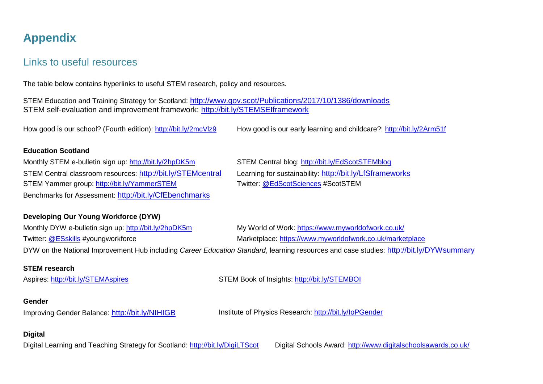## **Appendix**

### Links to useful resources

The table below contains hyperlinks to useful STEM research, policy and resources.

STEM Education and Training Strategy for Scotland: <http://www.gov.scot/Publications/2017/10/1386/downloads> STEM self-evaluation and improvement framework:<http://bit.ly/STEMSEIframework>

How good is our school? (Fourth edition):<http://bit.ly/2mcVlz9> How good is our early learning and childcare?:<http://bit.ly/2Arm51f>

#### **Education Scotland**

Monthly STEM e-bulletin sign up: <http://bit.ly/2hpDK5m> STEM Central blog: <http://bit.ly/EdScotSTEMblog> STEM Central classroom resources: <http://bit.ly/STEMcentral> Learning for sustainability: <http://bit.ly/LfSframeworks> STEM Yammer group: <http://bit.ly/YammerSTEM> Twitter: [@EdScotSciences](https://twitter.com/EdScotSciences) #ScotSTEM Benchmarks for Assessment: <http://bit.ly/CfEbenchmarks>

#### **Developing Our Young Workforce (DYW)**

Monthly DYW e-bulletin sign up: <http://bit.ly/2hpDK5m> My World of Work: <https://www.myworldofwork.co.uk/> Twitter: [@ESskills](https://twitter.com/ESskills) #youngworkforce Marketplace:<https://www.myworldofwork.co.uk/marketplace> DYW on the National Improvement Hub including *Career Education Standard*, learning resources and case studies: <http://bit.ly/DYWsummary>

#### **STEM research**

Aspires: <http://bit.ly/STEMAspires> STEM Book of Insights: <http://bit.ly/STEMBOI>

#### **Gender**

Improving Gender Balance: <http://bit.ly/NIHIGB> Institute of Physics Research: <http://bit.ly/IoPGender>

#### **Digital**

Digital Learning and Teaching Strategy for Scotland:<http://bit.ly/DigiLTScot>Digital Schools Award:<http://www.digitalschoolsawards.co.uk/>